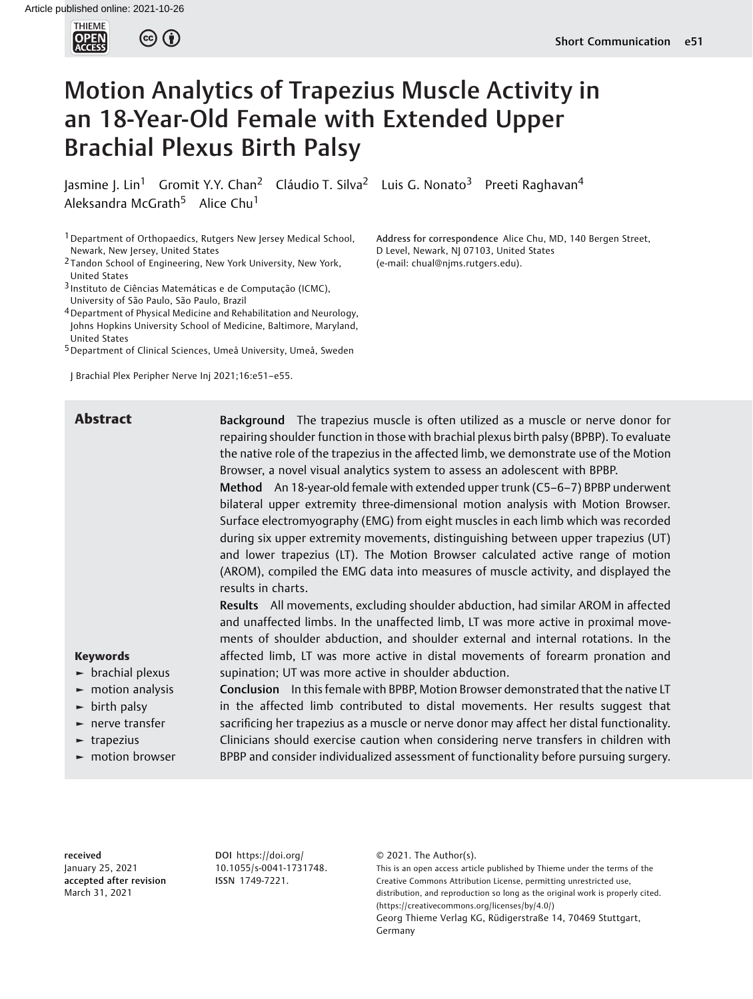

# Motion Analytics of Trapezius Muscle Activity in an 18-Year-Old Female with Extended Upper Brachial Plexus Birth Palsy

Jasmine J. Lin<sup>1</sup> Gromit Y.Y. Chan<sup>2</sup> Cláudio T. Silva<sup>2</sup> Luis G. Nonato<sup>3</sup> Preeti Raghavan<sup>4</sup> Aleksandra McGrath<sup>5</sup> Alice Chu<sup>1</sup>

<sup>1</sup> Department of Orthopaedics, Rutgers New Jersey Medical School, Newark, New Jersey, United States

2 Tandon School of Engineering, New York University, New York, United States

3 Instituto de Ciências Matemáticas e de Computação (ICMC), University of São Paulo, São Paulo, Brazil

4Department of Physical Medicine and Rehabilitation and Neurology, Johns Hopkins University School of Medicine, Baltimore, Maryland, United States

5Department of Clinical Sciences, Umeå University, Umeå, Sweden

J Brachial Plex Peripher Nerve Inj 2021;16:e51–e55.

Address for correspondence Alice Chu, MD, 140 Bergen Street, D Level, Newark, NJ 07103, United States (e-mail: [chual@njms.rutgers.edu\)](mailto:chual@njms.rutgers.edu).

**Abstract** Background The trapezius muscle is often utilized as a muscle or nerve donor for repairing shoulder function in those with brachial plexus birth palsy (BPBP). To evaluate the native role of the trapezius in the affected limb, we demonstrate use of the Motion Browser, a novel visual analytics system to assess an adolescent with BPBP.

> Method An 18-year-old female with extended upper trunk (C5–6–7) BPBP underwent bilateral upper extremity three-dimensional motion analysis with Motion Browser. Surface electromyography (EMG) from eight muscles in each limb which was recorded during six upper extremity movements, distinguishing between upper trapezius (UT) and lower trapezius (LT). The Motion Browser calculated active range of motion (AROM), compiled the EMG data into measures of muscle activity, and displayed the results in charts.

> Results All movements, excluding shoulder abduction, had similar AROM in affected and unaffected limbs. In the unaffected limb, LT was more active in proximal movements of shoulder abduction, and shoulder external and internal rotations. In the affected limb, LT was more active in distal movements of forearm pronation and supination; UT was more active in shoulder abduction.

Keywords

- ► brachial plexus
- ► motion analysis
- $\blacktriangleright$  birth palsy
- ► nerve transfer
- ► trapezius
- ► motion browser

Conclusion In this female with BPBP, Motion Browser demonstrated that the native LT in the affected limb contributed to distal movements. Her results suggest that sacrificing her trapezius as a muscle or nerve donor may affect her distal functionality. Clinicians should exercise caution when considering nerve transfers in children with BPBP and consider individualized assessment of functionality before pursuing surgery.

received January 25, 2021 accepted after revision March 31, 2021

DOI [https://doi.org/](https://doi.org/10.1055/s-0041-1731748) [10.1055/s-0041-1731748](https://doi.org/10.1055/s-0041-1731748). ISSN 1749-7221.

© 2021. The Author(s).

This is an open access article published by Thieme under the terms of the Creative Commons Attribution License, permitting unrestricted use, distribution, and reproduction so long as the original work is properly cited. (https://creativecommons.org/licenses/by/4.0/) Georg Thieme Verlag KG, Rüdigerstraße 14, 70469 Stuttgart, Germany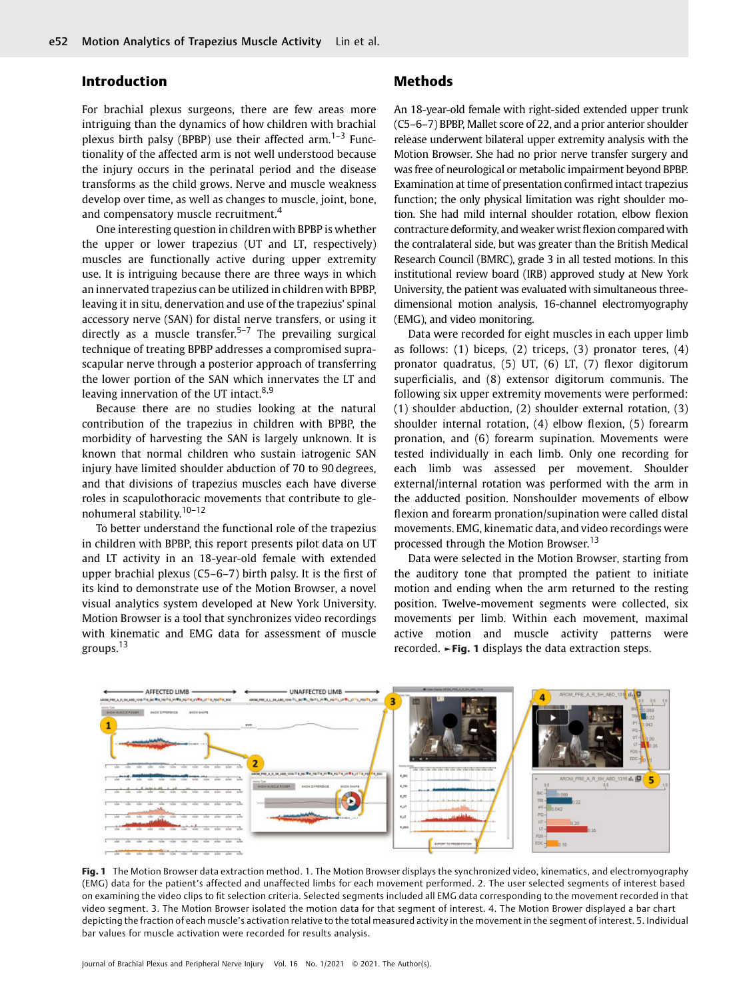# Introduction

For brachial plexus surgeons, there are few areas more intriguing than the dynamics of how children with brachial plexus birth palsy (BPBP) use their affected arm.<sup>1–3</sup> Functionality of the affected arm is not well understood because the injury occurs in the perinatal period and the disease transforms as the child grows. Nerve and muscle weakness develop over time, as well as changes to muscle, joint, bone, and compensatory muscle recruitment.<sup>4</sup>

One interesting question in children with BPBP is whether the upper or lower trapezius (UT and LT, respectively) muscles are functionally active during upper extremity use. It is intriguing because there are three ways in which an innervated trapezius can be utilized in children with BPBP, leaving it in situ, denervation and use of the trapezius' spinal accessory nerve (SAN) for distal nerve transfers, or using it directly as a muscle transfer.<sup>5-7</sup> The prevailing surgical technique of treating BPBP addresses a compromised suprascapular nerve through a posterior approach of transferring the lower portion of the SAN which innervates the LT and leaving innervation of the UT intact.<sup>8,9</sup>

Because there are no studies looking at the natural contribution of the trapezius in children with BPBP, the morbidity of harvesting the SAN is largely unknown. It is known that normal children who sustain iatrogenic SAN injury have limited shoulder abduction of 70 to 90 degrees, and that divisions of trapezius muscles each have diverse roles in scapulothoracic movements that contribute to glenohumeral stability.10–<sup>12</sup>

To better understand the functional role of the trapezius in children with BPBP, this report presents pilot data on UT and LT activity in an 18-year-old female with extended upper brachial plexus (C5–6–7) birth palsy. It is the first of its kind to demonstrate use of the Motion Browser, a novel visual analytics system developed at New York University. Motion Browser is a tool that synchronizes video recordings with kinematic and EMG data for assessment of muscle groups.<sup>13</sup>

# Methods

An 18-year-old female with right-sided extended upper trunk (C5–6–7) BPBP, Mallet score of 22, and a prior anterior shoulder release underwent bilateral upper extremity analysis with the Motion Browser. She had no prior nerve transfer surgery and was free of neurological or metabolic impairment beyond BPBP. Examination at time of presentation confirmed intact trapezius function; the only physical limitation was right shoulder motion. She had mild internal shoulder rotation, elbow flexion contracture deformity, and weaker wrist flexion compared with the contralateral side, but was greater than the British Medical Research Council (BMRC), grade 3 in all tested motions. In this institutional review board (IRB) approved study at New York University, the patient was evaluated with simultaneous threedimensional motion analysis, 16-channel electromyography (EMG), and video monitoring.

Data were recorded for eight muscles in each upper limb as follows:  $(1)$  biceps,  $(2)$  triceps,  $(3)$  pronator teres,  $(4)$ pronator quadratus, (5) UT, (6) LT, (7) flexor digitorum superficialis, and (8) extensor digitorum communis. The following six upper extremity movements were performed: (1) shoulder abduction, (2) shoulder external rotation, (3) shoulder internal rotation, (4) elbow flexion, (5) forearm pronation, and (6) forearm supination. Movements were tested individually in each limb. Only one recording for each limb was assessed per movement. Shoulder external/internal rotation was performed with the arm in the adducted position. Nonshoulder movements of elbow flexion and forearm pronation/supination were called distal movements. EMG, kinematic data, and video recordings were processed through the Motion Browser.<sup>13</sup>

Data were selected in the Motion Browser, starting from the auditory tone that prompted the patient to initiate motion and ending when the arm returned to the resting position. Twelve-movement segments were collected, six movements per limb. Within each movement, maximal active motion and muscle activity patterns were recorded. ►Fig. 1 displays the data extraction steps.



Fig. 1 The Motion Browser data extraction method. 1. The Motion Browser displays the synchronized video, kinematics, and electromyography (EMG) data for the patient's affected and unaffected limbs for each movement performed. 2. The user selected segments of interest based on examining the video clips to fit selection criteria. Selected segments included all EMG data corresponding to the movement recorded in that video segment. 3. The Motion Browser isolated the motion data for that segment of interest. 4. The Motion Brower displayed a bar chart depicting the fraction of each muscle's activation relative to the total measured activity in the movement in the segment of interest. 5. Individual bar values for muscle activation were recorded for results analysis.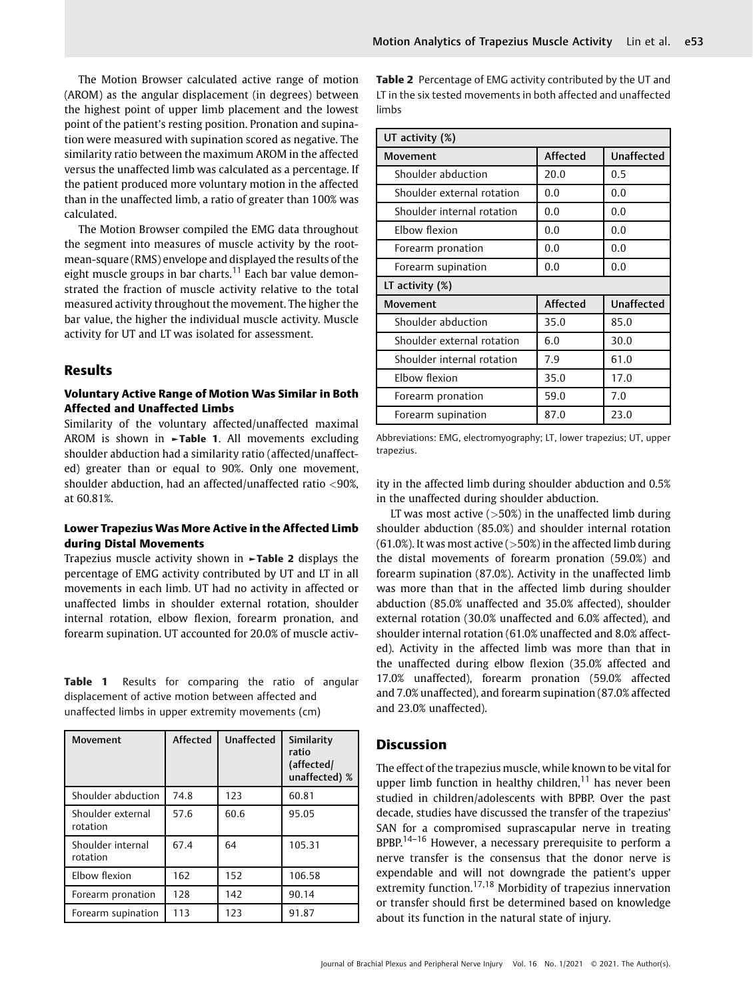The Motion Browser calculated active range of motion (AROM) as the angular displacement (in degrees) between the highest point of upper limb placement and the lowest point of the patient's resting position. Pronation and supination were measured with supination scored as negative. The similarity ratio between the maximum AROM in the affected versus the unaffected limb was calculated as a percentage. If the patient produced more voluntary motion in the affected than in the unaffected limb, a ratio of greater than 100% was calculated.

The Motion Browser compiled the EMG data throughout the segment into measures of muscle activity by the rootmean-square (RMS) envelope and displayed the results of the eight muscle groups in bar charts.<sup>11</sup> Each bar value demonstrated the fraction of muscle activity relative to the total measured activity throughout the movement. The higher the bar value, the higher the individual muscle activity. Muscle activity for UT and LT was isolated for assessment.

# Results

#### Voluntary Active Range of Motion Was Similar in Both Affected and Unaffected Limbs

Similarity of the voluntary affected/unaffected maximal AROM is shown in  $\blacktriangleright$ Table 1. All movements excluding shoulder abduction had a similarity ratio (affected/unaffected) greater than or equal to 90%. Only one movement, shoulder abduction, had an affected/unaffected ratio <90%, at 60.81%.

#### Lower Trapezius Was More Active in the Affected Limb during Distal Movements

Trapezius muscle activity shown in ►Table 2 displays the percentage of EMG activity contributed by UT and LT in all movements in each limb. UT had no activity in affected or unaffected limbs in shoulder external rotation, shoulder internal rotation, elbow flexion, forearm pronation, and forearm supination. UT accounted for 20.0% of muscle activ-

Table 1 Results for comparing the ratio of angular displacement of active motion between affected and unaffected limbs in upper extremity movements (cm)

| Movement                      | Affected | <b>Unaffected</b> | Similarity<br>ratio<br>(affected/<br>unaffected) % |
|-------------------------------|----------|-------------------|----------------------------------------------------|
| Shoulder abduction            | 74.8     | 123               | 60.81                                              |
| Shoulder external<br>rotation | 57.6     | 60.6              | 95.05                                              |
| Shoulder internal<br>rotation | 67.4     | 64                | 105.31                                             |
| Elbow flexion                 | 162      | 152               | 106.58                                             |
| Forearm pronation             | 128      | 142               | 90.14                                              |
| Forearm supination            | 113      | 123               | 91.87                                              |

Table 2 Percentage of EMG activity contributed by the UT and LT in the six tested movements in both affected and unaffected limbs

| UT activity (%)            |          |                   |  |  |
|----------------------------|----------|-------------------|--|--|
| <b>Movement</b>            | Affected | <b>Unaffected</b> |  |  |
| Shoulder abduction         | 20.0     | 0.5               |  |  |
| Shoulder external rotation | 0.0      | 0.0               |  |  |
| Shoulder internal rotation | 0.0      | 0.0               |  |  |
| Elbow flexion              | 0.0      | 0.0               |  |  |
| Forearm pronation          | 0.0      | 0.0               |  |  |
| Forearm supination         | 0.0      | 0.0               |  |  |
| LT activity (%)            |          |                   |  |  |
| <b>Movement</b>            | Affected | <b>Unaffected</b> |  |  |
| Shoulder abduction         | 35.0     | 85.0              |  |  |
| Shoulder external rotation | 6.0      | 30.0              |  |  |
| Shoulder internal rotation | 7.9      | 61.0              |  |  |
| Elbow flexion              | 35.0     | 17.0              |  |  |
| Forearm pronation          | 59.0     | 7.0               |  |  |
| Forearm supination         | 87.0     | 23.0              |  |  |

Abbreviations: EMG, electromyography; LT, lower trapezius; UT, upper trapezius.

ity in the affected limb during shoulder abduction and 0.5% in the unaffected during shoulder abduction.

LT was most active  $($ >50%) in the unaffected limb during shoulder abduction (85.0%) and shoulder internal rotation  $(61.0%)$ . It was most active  $(>50%)$  in the affected limb during the distal movements of forearm pronation (59.0%) and forearm supination (87.0%). Activity in the unaffected limb was more than that in the affected limb during shoulder abduction (85.0% unaffected and 35.0% affected), shoulder external rotation (30.0% unaffected and 6.0% affected), and shoulder internal rotation (61.0% unaffected and 8.0% affected). Activity in the affected limb was more than that in the unaffected during elbow flexion (35.0% affected and 17.0% unaffected), forearm pronation (59.0% affected and 7.0% unaffected), and forearm supination (87.0% affected and 23.0% unaffected).

### **Discussion**

The effect of the trapezius muscle, while known to be vital for upper limb function in healthy children, $11$  has never been studied in children/adolescents with BPBP. Over the past decade, studies have discussed the transfer of the trapezius' SAN for a compromised suprascapular nerve in treating BPBP.<sup>14–16</sup> However, a necessary prerequisite to perform a nerve transfer is the consensus that the donor nerve is expendable and will not downgrade the patient's upper extremity function.<sup>17,18</sup> Morbidity of trapezius innervation or transfer should first be determined based on knowledge about its function in the natural state of injury.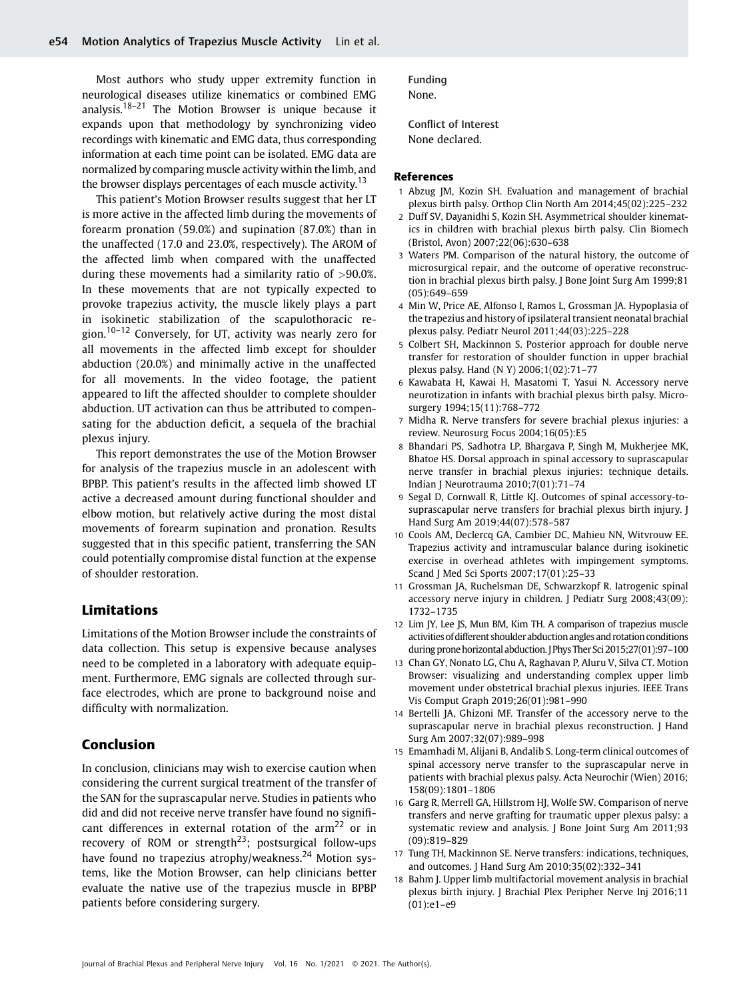Most authors who study upper extremity function in neurological diseases utilize kinematics or combined EMG analysis.<sup>18–21</sup> The Motion Browser is unique because it expands upon that methodology by synchronizing video recordings with kinematic and EMG data, thus corresponding information at each time point can be isolated. EMG data are normalized by comparing muscle activity within the limb, and the browser displays percentages of each muscle activity.<sup>13</sup>

This patient's Motion Browser results suggest that her LT is more active in the affected limb during the movements of forearm pronation (59.0%) and supination (87.0%) than in the unaffected (17.0 and 23.0%, respectively). The AROM of the affected limb when compared with the unaffected during these movements had a similarity ratio of >90.0%. In these movements that are not typically expected to provoke trapezius activity, the muscle likely plays a part in isokinetic stabilization of the scapulothoracic region.<sup>10–12</sup> Conversely, for UT, activity was nearly zero for all movements in the affected limb except for shoulder abduction (20.0%) and minimally active in the unaffected for all movements. In the video footage, the patient appeared to lift the affected shoulder to complete shoulder abduction. UT activation can thus be attributed to compensating for the abduction deficit, a sequela of the brachial plexus injury.

This report demonstrates the use of the Motion Browser for analysis of the trapezius muscle in an adolescent with BPBP. This patient's results in the affected limb showed LT active a decreased amount during functional shoulder and elbow motion, but relatively active during the most distal movements of forearm supination and pronation. Results suggested that in this specific patient, transferring the SAN could potentially compromise distal function at the expense of shoulder restoration.

#### Limitations

Limitations of the Motion Browser include the constraints of data collection. This setup is expensive because analyses need to be completed in a laboratory with adequate equipment. Furthermore, EMG signals are collected through surface electrodes, which are prone to background noise and difficulty with normalization.

#### Conclusion

In conclusion, clinicians may wish to exercise caution when considering the current surgical treatment of the transfer of the SAN for the suprascapular nerve. Studies in patients who did and did not receive nerve transfer have found no significant differences in external rotation of the  $arm^{22}$  or in recovery of ROM or strength<sup>23</sup>; postsurgical follow-ups have found no trapezius atrophy/weakness.<sup>24</sup> Motion systems, like the Motion Browser, can help clinicians better evaluate the native use of the trapezius muscle in BPBP patients before considering surgery.

Funding None.

Conflict of Interest None declared.

#### References

- 1 Abzug JM, Kozin SH. Evaluation and management of brachial plexus birth palsy. Orthop Clin North Am 2014;45(02):225–232
- 2 Duff SV, Dayanidhi S, Kozin SH. Asymmetrical shoulder kinematics in children with brachial plexus birth palsy. Clin Biomech (Bristol, Avon) 2007;22(06):630–638
- 3 Waters PM. Comparison of the natural history, the outcome of microsurgical repair, and the outcome of operative reconstruction in brachial plexus birth palsy. J Bone Joint Surg Am 1999;81 (05):649–659
- 4 Min W, Price AE, Alfonso I, Ramos L, Grossman JA. Hypoplasia of the trapezius and history of ipsilateral transient neonatal brachial plexus palsy. Pediatr Neurol 2011;44(03):225–228
- 5 Colbert SH, Mackinnon S. Posterior approach for double nerve transfer for restoration of shoulder function in upper brachial plexus palsy. Hand (N Y) 2006;1(02):71–77
- 6 Kawabata H, Kawai H, Masatomi T, Yasui N. Accessory nerve neurotization in infants with brachial plexus birth palsy. Microsurgery 1994;15(11):768–772
- 7 Midha R. Nerve transfers for severe brachial plexus injuries: a review. Neurosurg Focus 2004;16(05):E5
- 8 Bhandari PS, Sadhotra LP, Bhargava P, Singh M, Mukherjee MK, Bhatoe HS. Dorsal approach in spinal accessory to suprascapular nerve transfer in brachial plexus injuries: technique details. Indian J Neurotrauma 2010;7(01):71–74
- 9 Segal D, Cornwall R, Little KJ. Outcomes of spinal accessory-tosuprascapular nerve transfers for brachial plexus birth injury. J Hand Surg Am 2019;44(07):578–587
- 10 Cools AM, Declercq GA, Cambier DC, Mahieu NN, Witvrouw EE. Trapezius activity and intramuscular balance during isokinetic exercise in overhead athletes with impingement symptoms. Scand J Med Sci Sports 2007;17(01):25–33
- 11 Grossman JA, Ruchelsman DE, Schwarzkopf R. Iatrogenic spinal accessory nerve injury in children. J Pediatr Surg 2008;43(09): 1732–1735
- 12 Lim JY, Lee JS, Mun BM, Kim TH. A comparison of trapezius muscle activities ofdifferent shoulder abduction angles and rotation conditions during prone horizontal abduction. J Phys Ther Sci 2015;27(01):97-100
- 13 Chan GY, Nonato LG, Chu A, Raghavan P, Aluru V, Silva CT. Motion Browser: visualizing and understanding complex upper limb movement under obstetrical brachial plexus injuries. IEEE Trans Vis Comput Graph 2019;26(01):981–990
- 14 Bertelli JA, Ghizoni MF. Transfer of the accessory nerve to the suprascapular nerve in brachial plexus reconstruction. J Hand Surg Am 2007;32(07):989–998
- 15 Emamhadi M, Alijani B, Andalib S. Long-term clinical outcomes of spinal accessory nerve transfer to the suprascapular nerve in patients with brachial plexus palsy. Acta Neurochir (Wien) 2016; 158(09):1801–1806
- 16 Garg R, Merrell GA, Hillstrom HJ, Wolfe SW. Comparison of nerve transfers and nerve grafting for traumatic upper plexus palsy: a systematic review and analysis. J Bone Joint Surg Am 2011;93 (09):819–829
- 17 Tung TH, Mackinnon SE. Nerve transfers: indications, techniques, and outcomes. J Hand Surg Am 2010;35(02):332–341
- Bahm J. Upper limb multifactorial movement analysis in brachial plexus birth injury. J Brachial Plex Peripher Nerve Inj 2016;11 (01):e1–e9